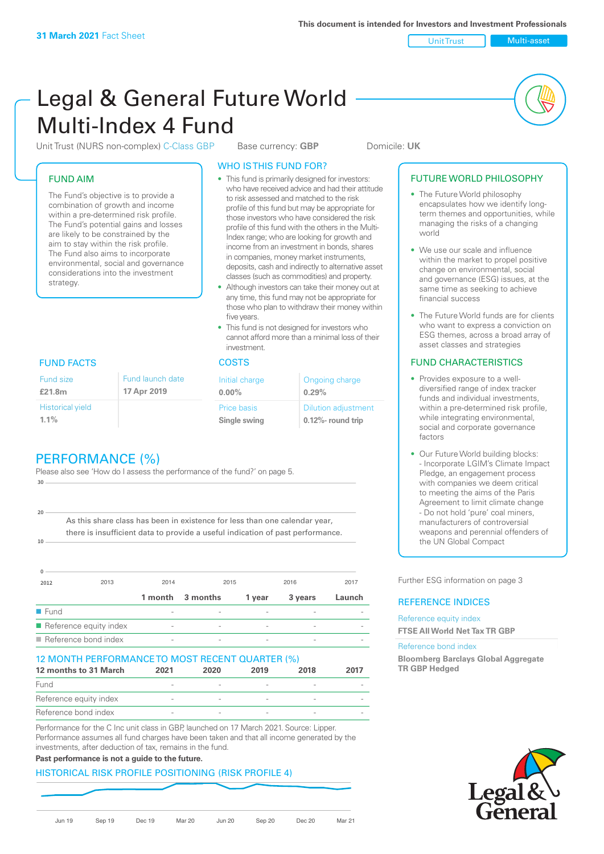Unit Trust Multi-asset

# Legal & General Future World Multi-Index 4 Fund

Unit Trust (NURS non-complex) C-Class GBP Base currency: **GBP** Domicile: UK

#### FUND AIM

The Fund's objective is to provide a combination of growth and income within a pre-determined risk profile. The Fund's potential gains and losses are likely to be constrained by the aim to stay within the risk profile. The Fund also aims to incorporate environmental, social and governance considerations into the investment strategy.

#### WHO IS THIS FUND FOR?

- This fund is primarily designed for investors: who have received advice and had their attitude to risk assessed and matched to the risk profile of this fund but may be appropriate for those investors who have considered the risk profile of this fund with the others in the Multi-Index range; who are looking for growth and income from an investment in bonds, shares in companies, money market instruments, deposits, cash and indirectly to alternative asset classes (such as commodities) and property.
- Although investors can take their money out at any time, this fund may not be appropriate for those who plan to withdraw their money within five years.
- This fund is not designed for investors who cannot afford more than a minimal loss of their investment.

| Fund launch date | Initial charge              | Ongoing charge                                      |  |
|------------------|-----------------------------|-----------------------------------------------------|--|
| 17 Apr 2019      | $0.00\%$                    | 0.29%                                               |  |
|                  | Price basis<br>Single swing | <b>Dilution adjustment</b><br>$0.12\%$ - round trip |  |

### FUND FACTS COSTS

Historical yield **1.1%**

Fund size **£21.8m**

**10**

**20**

# PERFORMANCE (%)

Please also see 'How do I assess the performance of the fund?' on page 5. **30**

As this share class has been in existence for less than one calendar year, there is insufficient data to provide a useful indication of past performance.

| 2012                                  | 2013 | 2014                     |                          | 2015                     | 2016    | 2017   |
|---------------------------------------|------|--------------------------|--------------------------|--------------------------|---------|--------|
|                                       |      | 1 month                  | 3 months                 | 1 year                   | 3 years | Launch |
| $\blacksquare$ Fund                   |      |                          |                          |                          |         |        |
| $\blacksquare$ Reference equity index |      | $\overline{\phantom{a}}$ | $\overline{\phantom{0}}$ | $\overline{\phantom{a}}$ |         |        |
| $\blacksquare$ Reference bond index   |      | $\overline{\phantom{a}}$ |                          |                          |         |        |

#### 12 MONTH PERFORMANCE TO MOST RECENT QUARTER (%)

| 12 months to 31 March  | 2021   | 2020 | 2019 | 2018   | 2017 |
|------------------------|--------|------|------|--------|------|
| Fund                   |        |      |      |        |      |
| Reference equity index |        |      |      |        |      |
| Reference bond index   | $\sim$ |      |      | $\sim$ |      |

Performance for the C Inc unit class in GBP, launched on 17 March 2021. Source: Lipper. Performance assumes all fund charges have been taken and that all income generated by the investments, after deduction of tax, remains in the fund.

#### **Past performance is not a guide to the future.**

#### HISTORICAL RISK PROFILE POSITIONING (RISK PROFILE 4)



#### FUTURE WORLD PHILOSOPHY

- The Future World philosophy encapsulates how we identify longterm themes and opportunities, while managing the risks of a changing world
- We use our scale and influence within the market to propel positive change on environmental, social and governance (ESG) issues, at the same time as seeking to achieve financial success
- The Future World funds are for clients who want to express a conviction on ESG themes, across a broad array of asset classes and strategies

#### FUND CHARACTERISTICS

- Provides exposure to a welldiversified range of index tracker funds and individual investments, within a pre-determined risk profile while integrating environmental, social and corporate governance factors
- Our Future World building blocks: - Incorporate LGIM's Climate Impact Pledge, an engagement process with companies we deem critical to meeting the aims of the Paris Agreement to limit climate change - Do not hold 'pure' coal miners, manufacturers of controversial weapons and perennial offenders of the UN Global Compact

Further ESG information on page 3

#### REFERENCE INDICES

Reference equity index **FTSE All World Net Tax TR GBP**

#### Reference bond index

**Bloomberg Barclays Global Aggregate TR GBP Hedged**

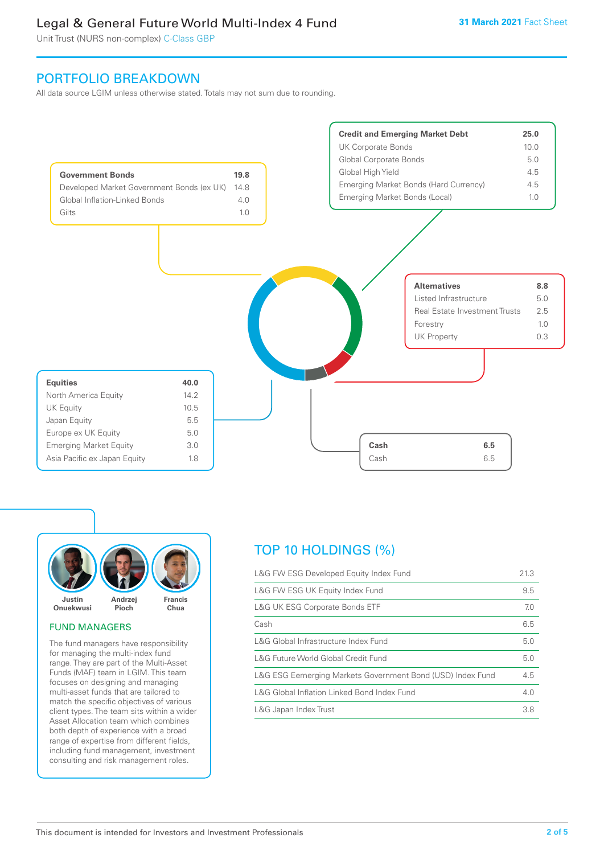Unit Trust (NURS non-complex) C-Class GBP

## PORTFOLIO BREAKDOWN

All data source LGIM unless otherwise stated. Totals may not sum due to rounding.





#### FUND MANAGERS

The fund managers have responsibility for managing the multi-index fund range. They are part of the Multi-Asset Funds (MAF) team in LGIM. This team focuses on designing and managing multi-asset funds that are tailored to match the specific objectives of various client types. The team sits within a wider Asset Allocation team which combines both depth of experience with a broad range of expertise from different fields, including fund management, investment consulting and risk management roles.

# TOP 10 HOLDINGS (%)

| L&G FW ESG Developed Equity Index Fund                     | 21.3 |
|------------------------------------------------------------|------|
| L&G FW ESG UK Equity Index Fund                            | 9.5  |
| <b>L&amp;G UK ESG Corporate Bonds ETF</b>                  | 7.0  |
| Cash                                                       | 6.5  |
| L&G Global Infrastructure Index Fund                       | 5.0  |
| L&G Future World Global Credit Fund                        | 5.0  |
| L&G ESG Eemerging Markets Government Bond (USD) Index Fund | 4.5  |
| L&G Global Inflation Linked Bond Index Fund                | 4.0  |
| L&G Japan Index Trust                                      | 3.8  |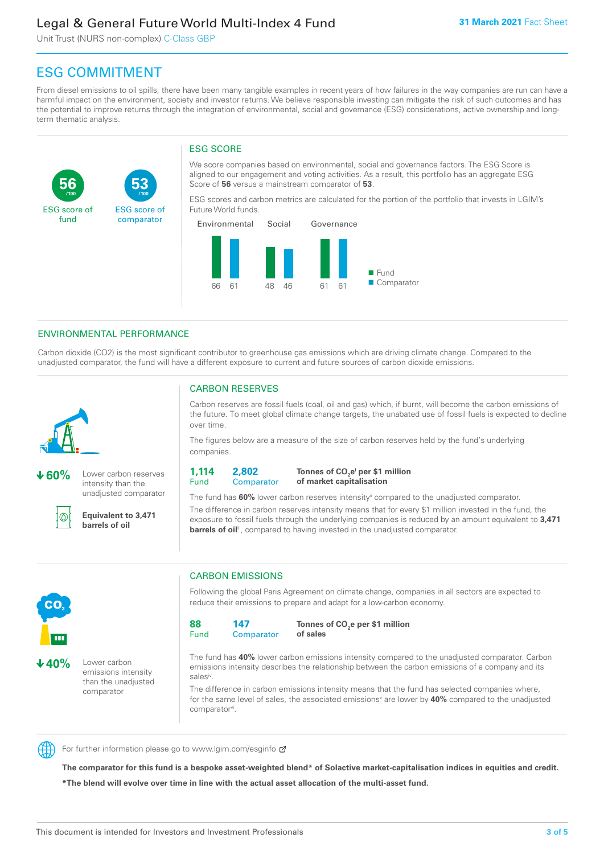Unit Trust (NURS non-complex) C-Class GBP

**53**

ESG score of comparator

# ESG COMMITMENT

**/100 /100**

From diesel emissions to oil spills, there have been many tangible examples in recent years of how failures in the way companies are run can have a harmful impact on the environment, society and investor returns. We believe responsible investing can mitigate the risk of such outcomes and has the potential to improve returns through the integration of environmental, social and governance (ESG) considerations, active ownership and longterm thematic analysis.

#### ESG SCORE

We score companies based on environmental, social and governance factors. The ESG Score is aligned to our engagement and voting activities. As a result, this portfolio has an aggregate ESG Score of **56** versus a mainstream comparator of **53**.

ESG scores and carbon metrics are calculated for the portion of the portfolio that invests in LGIM's Future World funds.



#### ENVIRONMENTAL PERFORMANCE

Carbon dioxide (CO2) is the most significant contributor to greenhouse gas emissions which are driving climate change. Compared to the unadjusted comparator, the fund will have a different exposure to current and future sources of carbon dioxide emissions.



**56**

ESG score of fund

**60%** Lower carbon reserves intensity than the unadjusted comparator

൘

**Equivalent to 3,471 barrels of oil**

#### CARBON RESERVES

Carbon reserves are fossil fuels (coal, oil and gas) which, if burnt, will become the carbon emissions of the future. To meet global climate change targets, the unabated use of fossil fuels is expected to decline over time.

The figures below are a measure of the size of carbon reserves held by the fund's underlying companies.

**1,114**  Fund **2,802 Comparator** 

**Tonnes of CO2 ei per \$1 million of market capitalisation**

The fund has **60%** lower carbon reserves intensityii compared to the unadjusted comparator. The difference in carbon reserves intensity means that for every \$1 million invested in the fund, the exposure to fossil fuels through the underlying companies is reduced by an amount equivalent to **3,471 barrels of oil**<sup>iii</sup>, compared to having invested in the unadjusted comparator.



**40%** Lower carbon emissions intensity than the unadjusted

comparator

CARBON EMISSIONS

Following the global Paris Agreement on climate change, companies in all sectors are expected to reduce their emissions to prepare and adapt for a low-carbon economy.

**88**  Fund **147 Comparator** 

**Tonnes of CO2 e per \$1 million of sales**

The fund has **40%** lower carbon emissions intensity compared to the unadjusted comparator. Carbon emissions intensity describes the relationship between the carbon emissions of a company and its salesiv

The difference in carbon emissions intensity means that the fund has selected companies where, for the same level of sales, the associated emissions<sup>v</sup> are lower by 40% compared to the unadjusted comparator<sup>vi</sup>.



For further information please go to www.lgim.com/esginfo Ø

**The comparator for this fund is a bespoke asset-weighted blend\* of Solactive market-capitalisation indices in equities and credit. \*The blend will evolve over time in line with the actual asset allocation of the multi-asset fund.**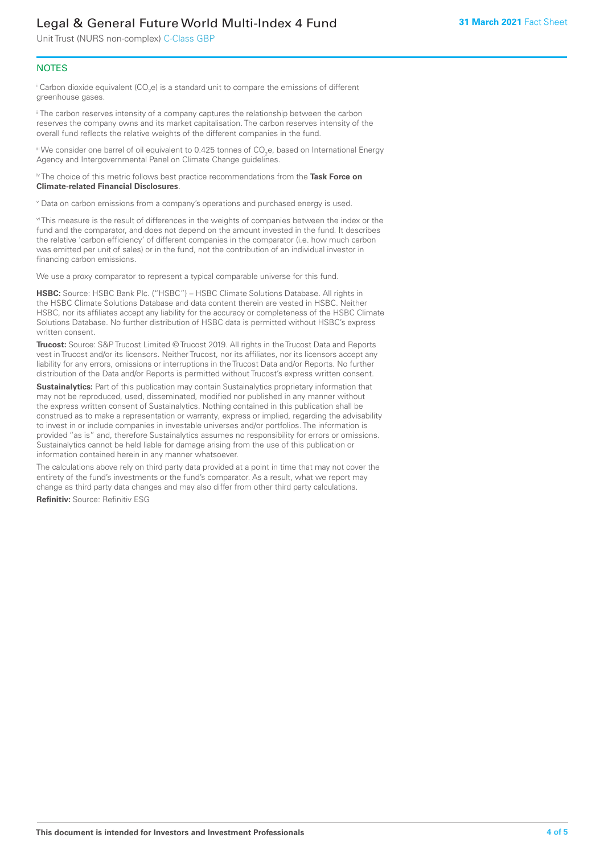Unit Trust (NURS non-complex) C-Class GBP

#### **NOTES**

 $^\mathrm{i}$  Carbon dioxide equivalent (CO<sub>2</sub>e) is a standard unit to compare the emissions of different greenhouse gases.

<sup>ii</sup> The carbon reserves intensity of a company captures the relationship between the carbon reserves the company owns and its market capitalisation. The carbon reserves intensity of the overall fund reflects the relative weights of the different companies in the fund.

iii We consider one barrel of oil equivalent to 0.425 tonnes of CO<sub>2</sub>e, based on International Energy Agency and Intergovernmental Panel on Climate Change guidelines.

#### iv The choice of this metric follows best practice recommendations from the **Task Force on Climate-related Financial Disclosures**.

v Data on carbon emissions from a company's operations and purchased energy is used.

vi This measure is the result of differences in the weights of companies between the index or the fund and the comparator, and does not depend on the amount invested in the fund. It describes the relative 'carbon efficiency' of different companies in the comparator (i.e. how much carbon was emitted per unit of sales) or in the fund, not the contribution of an individual investor in financing carbon emissions.

We use a proxy comparator to represent a typical comparable universe for this fund.

**HSBC:** Source: HSBC Bank Plc. ("HSBC") – HSBC Climate Solutions Database. All rights in the HSBC Climate Solutions Database and data content therein are vested in HSBC. Neither HSBC, nor its affiliates accept any liability for the accuracy or completeness of the HSBC Climate Solutions Database. No further distribution of HSBC data is permitted without HSBC's express written consent.

**Trucost:** Source: S&P Trucost Limited © Trucost 2019. All rights in the Trucost Data and Reports vest in Trucost and/or its licensors. Neither Trucost, nor its affiliates, nor its licensors accept any liability for any errors, omissions or interruptions in the Trucost Data and/or Reports. No further distribution of the Data and/or Reports is permitted without Trucost's express written consent.

**Sustainalytics:** Part of this publication may contain Sustainalytics proprietary information that may not be reproduced, used, disseminated, modified nor published in any manner without the express written consent of Sustainalytics. Nothing contained in this publication shall be construed as to make a representation or warranty, express or implied, regarding the advisability to invest in or include companies in investable universes and/or portfolios. The information is provided "as is" and, therefore Sustainalytics assumes no responsibility for errors or omissions. Sustainalytics cannot be held liable for damage arising from the use of this publication or information contained herein in any manner whatsoever.

The calculations above rely on third party data provided at a point in time that may not cover the entirety of the fund's investments or the fund's comparator. As a result, what we report may change as third party data changes and may also differ from other third party calculations.

**Refinitiv:** Source: Refinitiv ESG